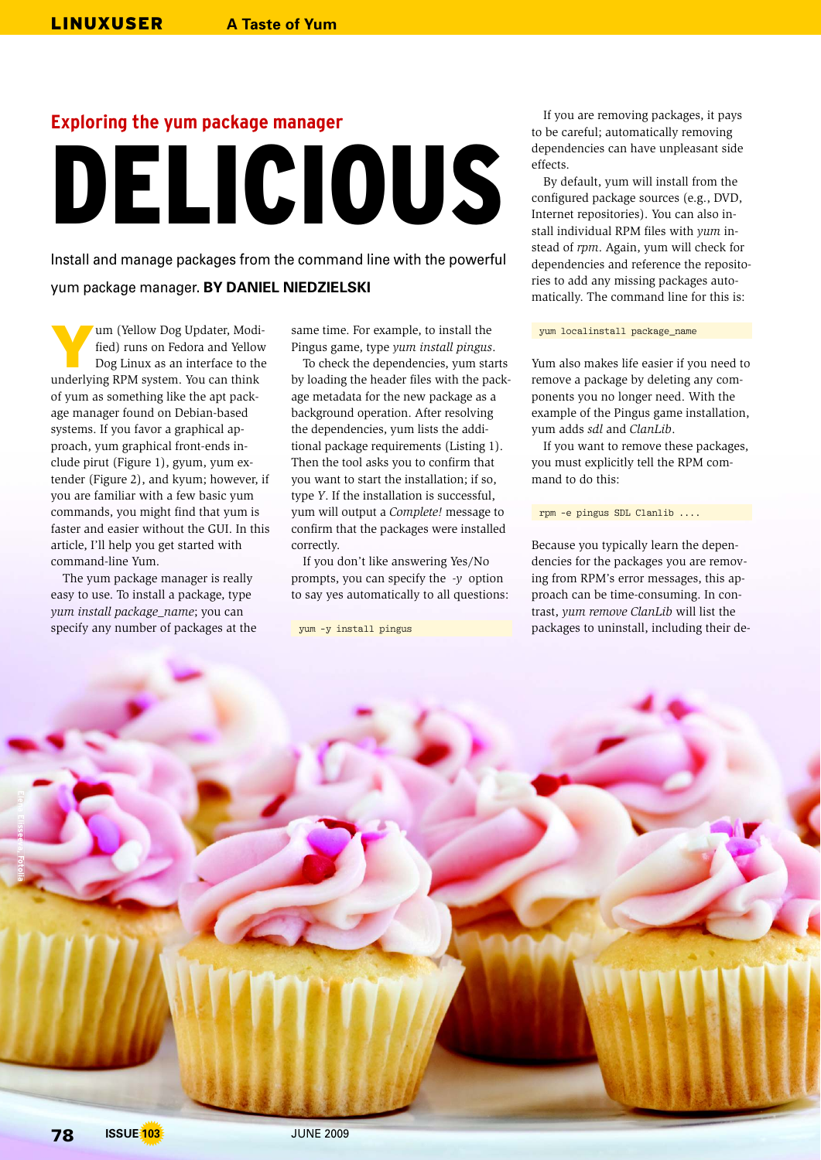# **Exploring the yum package manager** DELICIOUS

Install and manage packages from the command line with the powerful yum package manager. **BY DANIEL NIEDZIELSKI**

Y um (Yellow Dog Updater, Modified) runs on Fedora and Yellow Dog Linux as an interface to the underlying RPM system. You can think of yum as something like the apt package manager found on Debian-based systems. If you favor a graphical approach, yum graphical front-ends include pirut (Figure 1), gyum, yum extender (Figure 2), and kyum; however, if you are familiar with a few basic yum commands, you might find that yum is faster and easier without the GUI. In this article, I'll help you get started with command-line Yum.

The yum package manager is really easy to use. To install a package, type *yum install package\_name*; you can specify any number of packages at the

same time. For example, to install the Pingus game, type *yum install pingus*.

To check the dependencies, yum starts by loading the header files with the package metadata for the new package as a background operation. After resolving the dependencies, yum lists the additional package requirements (Listing 1). Then the tool asks you to confirm that you want to start the installation; if so, type *Y*. If the installation is successful, yum will output a *Complete!* message to confirm that the packages were installed correctly.

If you don't like answering Yes/No prompts, you can specify the *-y* option to say yes automatically to all questions:

yum -y install pingus

If you are removing packages, it pays to be careful; automatically removing dependencies can have unpleasant side effects.

By default, yum will install from the configured package sources (e.g., DVD, Internet repositories). You can also install individual RPM files with *yum* instead of *rpm*. Again, yum will check for dependencies and reference the repositories to add any missing packages automatically. The command line for this is:

yum localinstall package\_name

Yum also makes life easier if you need to remove a package by deleting any components you no longer need. With the example of the Pingus game installation, yum adds *sdl* and *ClanLib*.

If you want to remove these packages, you must explicitly tell the RPM command to do this:

rpm -e pingus SDL Clanlib ....

Because you typically learn the dependencies for the packages you are removing from RPM's error messages, this approach can be time-consuming. In contrast, *yum remove ClanLib* will list the packages to uninstall, including their de-

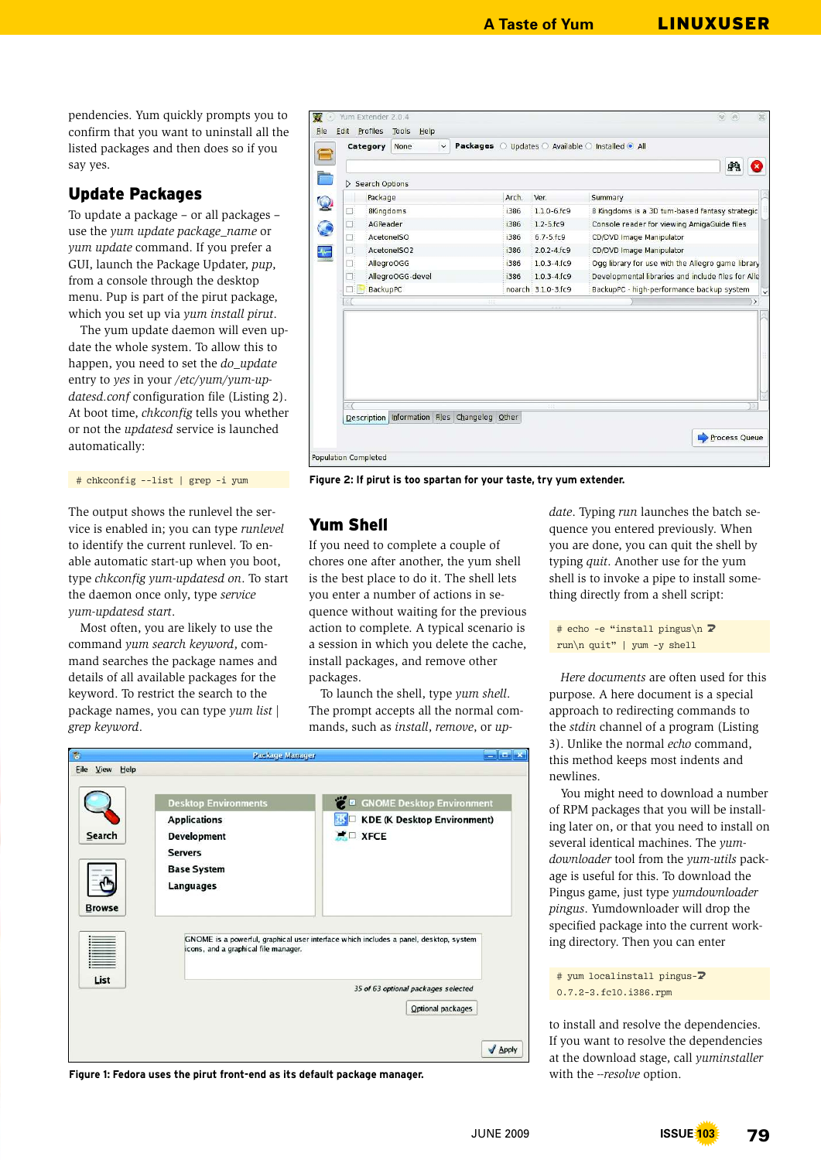**A Taste of Yum** LINUXUSER

pendencies. Yum quickly prompts you to confirm that you want to uninstall all the listed packages and then does so if you say yes.

# Update Packages

To update a package – or all packages – use the *yum update package\_name* or *yum update* command. If you prefer a GUI, launch the Package Updater, *pup*, from a console through the desktop menu. Pup is part of the pirut package, which you set up via *yum install pirut*.

The yum update daemon will even update the whole system. To allow this to happen, you need to set the *do\_update* entry to *yes* in your */etc/yum/yum-updatesd.conf* configuration file (Listing 2). At boot time, *chkconfig* tells you whether or not the *updatesd* service is launched automatically:

# chkconfig --list | grep -i yum

The output shows the runlevel the service is enabled in; you can type *runlevel* to identify the current runlevel. To enable automatic start-up when you boot, type *chkconfig yum-updatesd on*. To start the daemon once only, type *service yum-updatesd start*.

Most often, you are likely to use the command *yum search keyword*, command searches the package names and details of all available packages for the keyword. To restrict the search to the package names, you can type *yum list | grep keyword*.

|     | Category                                                 | None             | $\check{~}$ |                                                                                                                                                                                                                             |               |                          | Packages O Updates O Available O Installed O All |  |
|-----|----------------------------------------------------------|------------------|-------------|-----------------------------------------------------------------------------------------------------------------------------------------------------------------------------------------------------------------------------|---------------|--------------------------|--------------------------------------------------|--|
|     |                                                          |                  |             |                                                                                                                                                                                                                             |               |                          |                                                  |  |
|     | Search Options                                           |                  |             |                                                                                                                                                                                                                             |               |                          |                                                  |  |
|     | Package                                                  |                  |             |                                                                                                                                                                                                                             | Arch.         | Ver.                     | Summary                                          |  |
| 마   |                                                          | <b>8Kingdoms</b> |             |                                                                                                                                                                                                                             | i386          | $1.1.0 - 6.fc9$          | 8 Kingdoms is a 3D turn-based fantasy strategic  |  |
| DB. | AGReader                                                 |                  |             |                                                                                                                                                                                                                             | i386          | $1.2 - 5.fc9$            | Console reader for viewing AmigaGuide files      |  |
|     | AcetonelSO<br>Œ.<br>AcetonelSO2<br>U.<br>AllegroOGG<br>n |                  |             | i386                                                                                                                                                                                                                        | $6.7 - 5.fc9$ | CD/DVD Image Manipulator |                                                  |  |
|     |                                                          |                  |             | CD/DVD Image Manipulator<br>$2.0.2 - 4.fc9$<br>i386<br>$1.0.3 - 4.fc9$<br>Ogg library for use with the Allegro game library<br><b>i386</b><br>Developmental libraries and include files for Alle<br>$1.0.3 - 4.fc9$<br>i386 |               |                          |                                                  |  |
|     |                                                          |                  |             |                                                                                                                                                                                                                             |               |                          |                                                  |  |
|     | AllegroOGG-devel<br>n:                                   |                  |             |                                                                                                                                                                                                                             |               |                          |                                                  |  |
|     | <b>BackupPC</b>                                          |                  |             |                                                                                                                                                                                                                             |               | noarch 3.1.0-3.fc9       | BackupPC - high-performance backup system        |  |
|     |                                                          |                  | m           |                                                                                                                                                                                                                             |               |                          |                                                  |  |
|     |                                                          |                  |             |                                                                                                                                                                                                                             |               |                          |                                                  |  |
|     |                                                          |                  |             |                                                                                                                                                                                                                             |               |                          |                                                  |  |
|     |                                                          |                  |             | Description Information Files Changelog Other                                                                                                                                                                               |               |                          |                                                  |  |
|     |                                                          |                  |             |                                                                                                                                                                                                                             |               |                          |                                                  |  |

**Figure 2: If pirut is too spartan for your taste, try yum extender.**

#### Yum Shell

If you need to complete a couple of chores one after another, the yum shell is the best place to do it. The shell lets you enter a number of actions in sequence without waiting for the previous action to complete. A typical scenario is a session in which you delete the cache, install packages, and remove other packages.

To launch the shell, type *yum shell*. The prompt accepts all the normal commands, such as *install*, *remove*, or *up-*

| 局                 | Package Manager                      | خدارت الد                                                                             |
|-------------------|--------------------------------------|---------------------------------------------------------------------------------------|
| Eile<br>View Help |                                      |                                                                                       |
|                   | <b>Desktop Environments</b>          | <b>2</b> B GNOME Desktop Environment                                                  |
|                   | <b>Applications</b>                  | KDE (K Desktop Environment)                                                           |
| Search            | <b>Development</b>                   | $\blacksquare$ XFCE                                                                   |
|                   | <b>Servers</b>                       |                                                                                       |
|                   | <b>Base System</b>                   |                                                                                       |
|                   | Languages                            |                                                                                       |
| <b>Browse</b>     |                                      |                                                                                       |
|                   | icons, and a graphical file manager. | GNOME is a powerful, graphical user interface which includes a panel, desktop, system |
| List              |                                      | 35 of 63 optional packages selected                                                   |
|                   |                                      | Optional packages                                                                     |
|                   |                                      |                                                                                       |
|                   |                                      |                                                                                       |
|                   |                                      | $\sqrt{\text{Apply}}$                                                                 |

**Figure 1: Fedora uses the pirut front-end as its default package manager.**

*date*. Typing *run* launches the batch sequence you entered previously. When you are done, you can quit the shell by typing *quit*. Another use for the yum shell is to invoke a pipe to install something directly from a shell script:

# echo -e "install pingus\n **2** run\n quit" | yum -y shell

*Here documents* are often used for this purpose. A here document is a special approach to redirecting commands to the *stdin* channel of a program (Listing 3). Unlike the normal *echo* command, this method keeps most indents and newlines.

You might need to download a number of RPM packages that you will be installing later on, or that you need to install on several identical machines. The *yumdownloader* tool from the *yum-utils* package is useful for this. To download the Pingus game, just type *yumdownloader pingus*. Yumdownloader will drop the specified package into the current working directory. Then you can enter

# yum localinstall pingus- $\overline{Z}$ 0.7.2-3.fc10.i386.rpm

to install and resolve the dependencies. If you want to resolve the dependencies at the download stage, call *yuminstaller* with the *--resolve* option.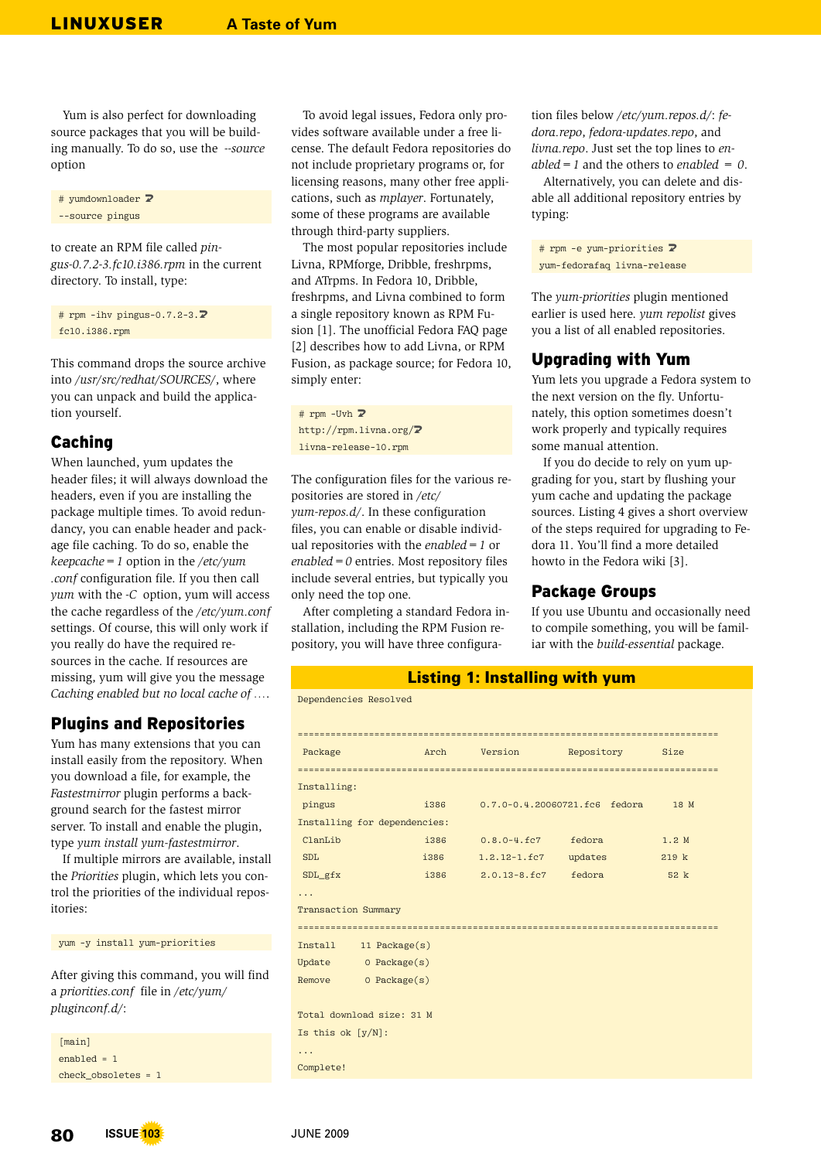Yum is also perfect for downloading source packages that you will be building manually. To do so, use the *--source*  option

# yumdownloader **2** --source pingus

to create an RPM file called *pingus-0.7.2-3.fc10.i386.rpm* in the current directory. To install, type:

# rpm -ihv pingus-0.7.2-3. $\overline{2}$ fc10.i386.rpm

This command drops the source archive into */usr/src/redhat/SOURCES/*, where you can unpack and build the application yourself.

## Caching

When launched, yum updates the header files; it will always download the headers, even if you are installing the package multiple times. To avoid redundancy, you can enable header and package file caching. To do so, enable the *keepcache=1* option in the */etc/yum .conf* configuration file. If you then call *yum* with the *-C* option, yum will access the cache regardless of the */etc/yum.conf* settings. Of course, this will only work if you really do have the required resources in the cache. If resources are missing, yum will give you the message *Caching enabled but no local cache of …*.

# Plugins and Repositories

Yum has many extensions that you can install easily from the repository. When you download a file, for example, the *Fastestmirror* plugin performs a background search for the fastest mirror server. To install and enable the plugin, type *yum install yum-fastestmirror*.

If multiple mirrors are available, install the *Priorities* plugin, which lets you control the priorities of the individual repositories:

#### yum -y install yum-priorities

After giving this command, you will find a *priorities.conf* file in */etc/yum/ pluginconf.d/*:

[main] enabled = 1 check\_obsoletes = 1

To avoid legal issues, Fedora only provides software available under a free license. The default Fedora repositories do not include proprietary programs or, for licensing reasons, many other free applications, such as *mplayer*. Fortunately, some of these programs are available through third-party suppliers.

The most popular repositories include Livna, RPMforge, Dribble, freshrpms, and ATrpms. In Fedora 10, Dribble, freshrpms, and Livna combined to form a single repository known as RPM Fusion [1]. The unofficial Fedora FAQ page [2] describes how to add Livna, or RPM Fusion, as package source; for Fedora 10, simply enter:

 $#$  rpm -Uvh  $\triangleright$ http://rpm.livna.org/2 livna-release-10.rpm

The configuration files for the various repositories are stored in */etc/ yum-repos.d/*. In these configuration files, you can enable or disable individual repositories with the *enabled=1* or *enabled=0* entries. Most repository files include several entries, but typically you only need the top one.

After completing a standard Fedora installation, including the RPM Fusion repository, you will have three configura-

Dependencies Resolved

tion files below */etc/yum.repos.d/*: *fedora.repo*, *fedora-updates.repo*, and *livna.repo*. Just set the top lines to *enabled=1* and the others to *enabled = 0*.

Alternatively, you can delete and disable all additional repository entries by typing:

# rpm -e yum-priorities **2** yum-fedorafaq livna-release

The *yum-priorities* plugin mentioned earlier is used here. *yum repolist* gives you a list of all enabled repositories.

# Upgrading with Yum

Yum lets you upgrade a Fedora system to the next version on the fly. Unfortunately, this option sometimes doesn't work properly and typically requires some manual attention.

If you do decide to rely on yum upgrading for you, start by flushing your yum cache and updating the package sources. Listing 4 gives a short overview of the steps required for upgrading to Fedora 11. You'll find a more detailed howto in the Fedora wiki [3].

# Package Groups

If you use Ubuntu and occasionally need to compile something, you will be familiar with the *build-essential* package.

#### Listing 1: Installing with yum

|                                |               | --------------   |                               |       |
|--------------------------------|---------------|------------------|-------------------------------|-------|
| Package                        |               | Arch Version     | Repository Size               |       |
| Installing:                    |               |                  |                               |       |
| pingus                         | i386 a        |                  | 0.7.0-0.4.20060721.fc6 fedora | 18 M  |
| Installing for dependencies:   |               |                  |                               |       |
| ClanLib                        | i386          | $0.8.0 - 4.fc7$  | fedora                        | 1.2 M |
| <b>SDL</b>                     | i386          | $1.2.12 - 1.fc7$ | updates                       | 219k  |
| $SDL_gfx$                      | i386          | $2.0.13 - 8.5c7$ | fedora                        | 52 k  |
|                                |               |                  |                               |       |
| <b>Transaction Summary</b>     |               |                  |                               |       |
|                                |               |                  |                               |       |
| Install                        | 11 Package(s) |                  |                               |       |
| $Update \qquad 0$ $Package(s)$ |               |                  |                               |       |
| Remove 0 Package(s)            |               |                  |                               |       |
|                                |               |                  |                               |       |
| Total download size: 31 M      |               |                  |                               |       |
| Is this ok $[y/N]$ :           |               |                  |                               |       |
| $\cdots$                       |               |                  |                               |       |
| Complete!                      |               |                  |                               |       |